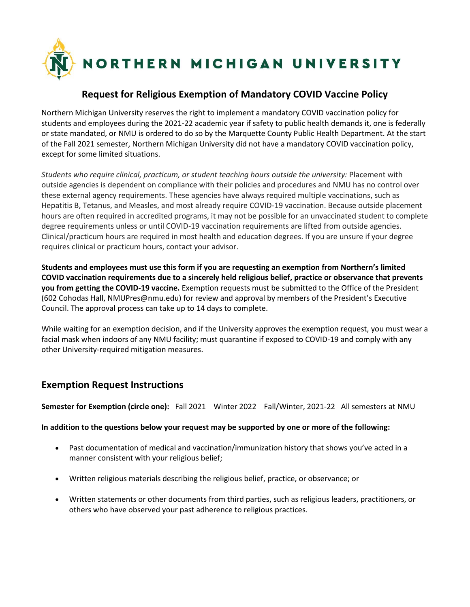

## **Request for Religious Exemption of Mandatory COVID Vaccine Policy**

Northern Michigan University reserves the right to implement a mandatory COVID vaccination policy for students and employees during the 2021-22 academic year if safety to public health demands it, one is federally or state mandated, or NMU is ordered to do so by the Marquette County Public Health Department. At the start of the Fall 2021 semester, Northern Michigan University did not have a mandatory COVID vaccination policy, except for some limited situations.

*Students who require clinical, practicum, or student teaching hours outside the university:* Placement with outside agencies is dependent on compliance with their policies and procedures and NMU has no control over these external agency requirements. These agencies have always required multiple vaccinations, such as Hepatitis B, Tetanus, and Measles, and most already require COVID-19 vaccination. Because outside placement hours are often required in accredited programs, it may not be possible for an unvaccinated student to complete degree requirements unless or until COVID-19 vaccination requirements are lifted from outside agencies. Clinical/practicum hours are required in most health and education degrees. If you are unsure if your degree requires clinical or practicum hours, contact your advisor.

**Students and employees must use this form if you are requesting an exemption from Northern's limited COVID vaccination requirements due to a sincerely held religious belief, practice or observance that prevents you from getting the COVID-19 vaccine.** Exemption requests must be submitted to the Office of the President (602 Cohodas Hall, NMUPres@nmu.edu) for review and approval by members of the President's Executive Council. The approval process can take up to 14 days to complete.

While waiting for an exemption decision, and if the University approves the exemption request, you must wear a facial mask when indoors of any NMU facility; must quarantine if exposed to COVID-19 and comply with any other University-required mitigation measures.

## **Exemption Request Instructions**

**Semester for Exemption (circle one):** Fall 2021 Winter 2022 Fall/Winter, 2021-22 All semesters at NMU

**In addition to the questions below your request may be supported by one or more of the following:**

- Past documentation of medical and vaccination/immunization history that shows you've acted in a manner consistent with your religious belief;
- Written religious materials describing the religious belief, practice, or observance; or
- Written statements or other documents from third parties, such as religious leaders, practitioners, or others who have observed your past adherence to religious practices.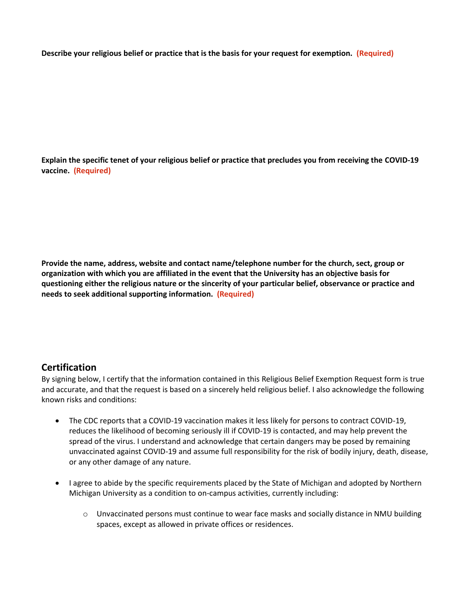**Describe your religious belief or practice that is the basis for your request for exemption. (Required)**

**Explain the specific tenet of your religious belief or practice that precludes you from receiving the COVID-19 vaccine. (Required)**

**Provide the name, address, website and contact name/telephone number for the church, sect, group or organization with which you are affiliated in the event that the University has an objective basis for questioning either the religious nature or the sincerity of your particular belief, observance or practice and needs to seek additional supporting information. (Required)**

## **Certification**

By signing below, I certify that the information contained in this Religious Belief Exemption Request form is true and accurate, and that the request is based on a sincerely held religious belief. I also acknowledge the following known risks and conditions:

- The CDC reports that a COVID-19 vaccination makes it less likely for persons to contract COVID-19, reduces the likelihood of becoming seriously ill if COVID-19 is contacted, and may help prevent the spread of the virus. I understand and acknowledge that certain dangers may be posed by remaining unvaccinated against COVID-19 and assume full responsibility for the risk of bodily injury, death, disease, or any other damage of any nature.
- I agree to abide by the specific requirements placed by the State of Michigan and adopted by Northern Michigan University as a condition to on-campus activities, currently including:
	- o Unvaccinated persons must continue to wear face masks and socially distance in NMU building spaces, except as allowed in private offices or residences.